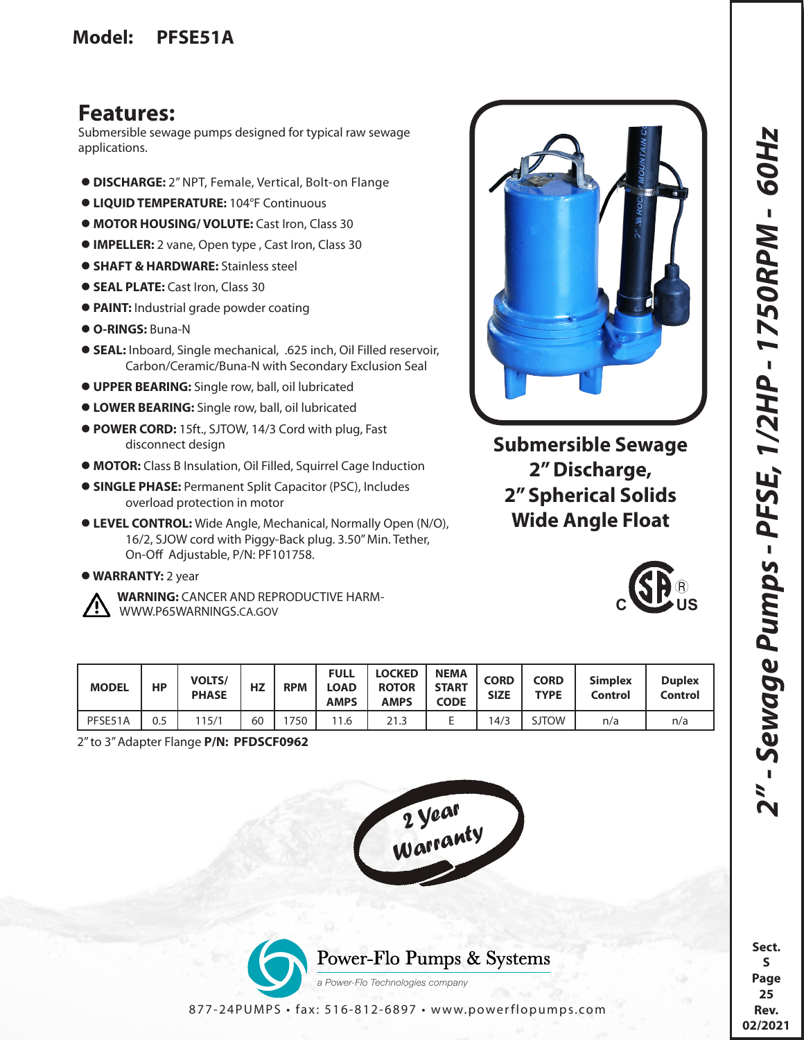## **Features:**

Submersible sewage pumps designed for typical raw sewage applications.

- **DISCHARGE:** 2" NPT, Female, Vertical, Bolt-on Flange
- **LIQUID TEMPERATURE:** 104°F Continuous
- **MOTOR HOUSING/ VOLUTE:** Cast Iron, Class 30
- **IMPELLER:** 2 vane, Open type , Cast Iron, Class 30
- **SHAFT & HARDWARE:** Stainless steel
- **SEAL PLATE:** Cast Iron, Class 30
- **PAINT:** Industrial grade powder coating
- **O-RINGS:** Buna-N
- **SEAL:** Inboard, Single mechanical, .625 inch, Oil Filled reservoir, Carbon/Ceramic/Buna-N with Secondary Exclusion Seal
- **UPPER BEARING:** Single row, ball, oil lubricated
- **LOWER BEARING:** Single row, ball, oil lubricated
- **POWER CORD:** 15ft., SJTOW, 14/3 Cord with plug, Fast disconnect design
- **MOTOR:** Class B Insulation, Oil Filled, Squirrel Cage Induction
- **SINGLE PHASE:** Permanent Split Capacitor (PSC), Includes overload protection in motor
- **LEVEL CONTROL:** Wide Angle, Mechanical, Normally Open (N/O), 16/2, SJOW cord with Piggy-Back plug. 3.50" Min. Tether, On-Off Adjustable, P/N: PF101758.
- **WARRANTY:** 2 year
- 

 **WARNING:** CANCER AND REPRODUCTIVE HARM- WWW.P65WARNINGS.CA.GOV

| annipuga <sup>n</sup><br><b>AN ROCA</b>    |  |  |  |  |  |  |  |
|--------------------------------------------|--|--|--|--|--|--|--|
| <b>Submersible Sewage</b><br>2" Discharge, |  |  |  |  |  |  |  |

**2" Discharge, 2" Spherical Solids Wide Angle Float**



| <b>MODEL</b> | НP  | <b>VOLTS/</b><br><b>PHASE</b> | HZ | <b>RPM</b> | <b>FULL</b><br>LOAD<br><b>AMPS</b> | <b>LOCKED</b><br><b>ROTOR</b><br><b>AMPS</b> | <b>NEMA</b><br><b>START</b><br><b>CODE</b> | <b>CORD</b><br><b>SIZE</b> | <b>CORD</b><br><b>TYPE</b> | <b>Simplex</b><br><b>Control</b> | <b>Duplex</b><br>Control |
|--------------|-----|-------------------------------|----|------------|------------------------------------|----------------------------------------------|--------------------------------------------|----------------------------|----------------------------|----------------------------------|--------------------------|
| PFSE51A      | 0.5 | 15/1                          | 60 | 750        | 1.6                                | 21.3                                         | -                                          | 14/3                       | <b>SJTOW</b>               | n/a                              | n/a                      |

2" to 3" Adapter Flange **P/N: PFDSCF0962**





**25 Rev. 02/2021**